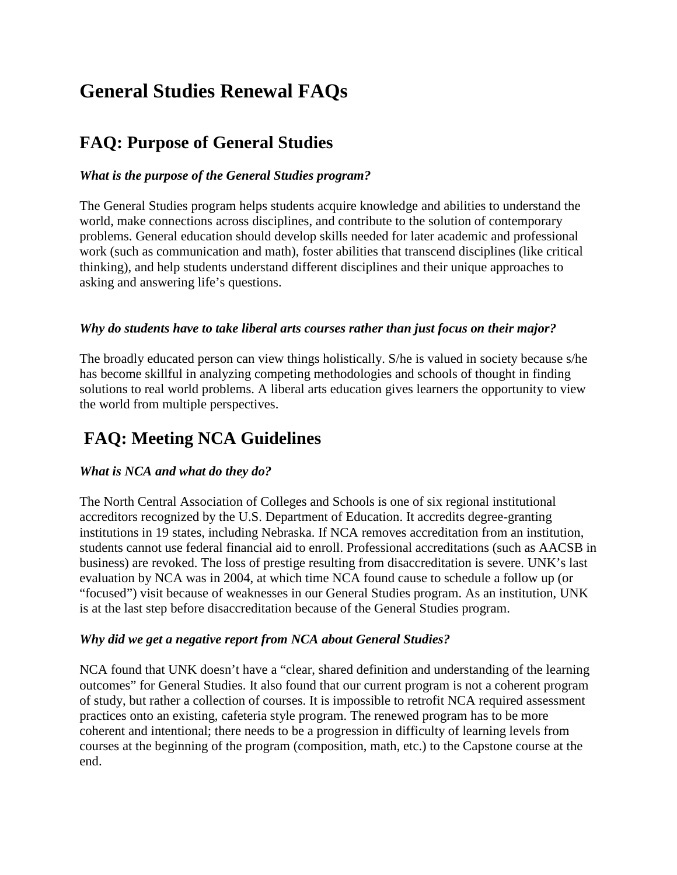# **General Studies Renewal FAQs**

## **FAQ: Purpose of General Studies**

#### *What is the purpose of the General Studies program?*

The General Studies program helps students acquire knowledge and abilities to understand the world, make connections across disciplines, and contribute to the solution of contemporary problems. General education should develop skills needed for later academic and professional work (such as communication and math), foster abilities that transcend disciplines (like critical thinking), and help students understand different disciplines and their unique approaches to asking and answering life's questions.

#### *Why do students have to take liberal arts courses rather than just focus on their major?*

The broadly educated person can view things holistically. S/he is valued in society because s/he has become skillful in analyzing competing methodologies and schools of thought in finding solutions to real world problems. A liberal arts education gives learners the opportunity to view the world from multiple perspectives.

## **FAQ: Meeting NCA Guidelines**

#### *What is NCA and what do they do?*

The North Central Association of Colleges and Schools is one of six regional institutional accreditors recognized by the U.S. Department of Education. It accredits degree-granting institutions in 19 states, including Nebraska. If NCA removes accreditation from an institution, students cannot use federal financial aid to enroll. Professional accreditations (such as AACSB in business) are revoked. The loss of prestige resulting from disaccreditation is severe. UNK's last evaluation by NCA was in 2004, at which time NCA found cause to schedule a follow up (or "focused") visit because of weaknesses in our General Studies program. As an institution, UNK is at the last step before disaccreditation because of the General Studies program.

#### *Why did we get a negative report from NCA about General Studies?*

NCA found that UNK doesn't have a "clear, shared definition and understanding of the learning outcomes" for General Studies. It also found that our current program is not a coherent program of study, but rather a collection of courses. It is impossible to retrofit NCA required assessment practices onto an existing, cafeteria style program. The renewed program has to be more coherent and intentional; there needs to be a progression in difficulty of learning levels from courses at the beginning of the program (composition, math, etc.) to the Capstone course at the end.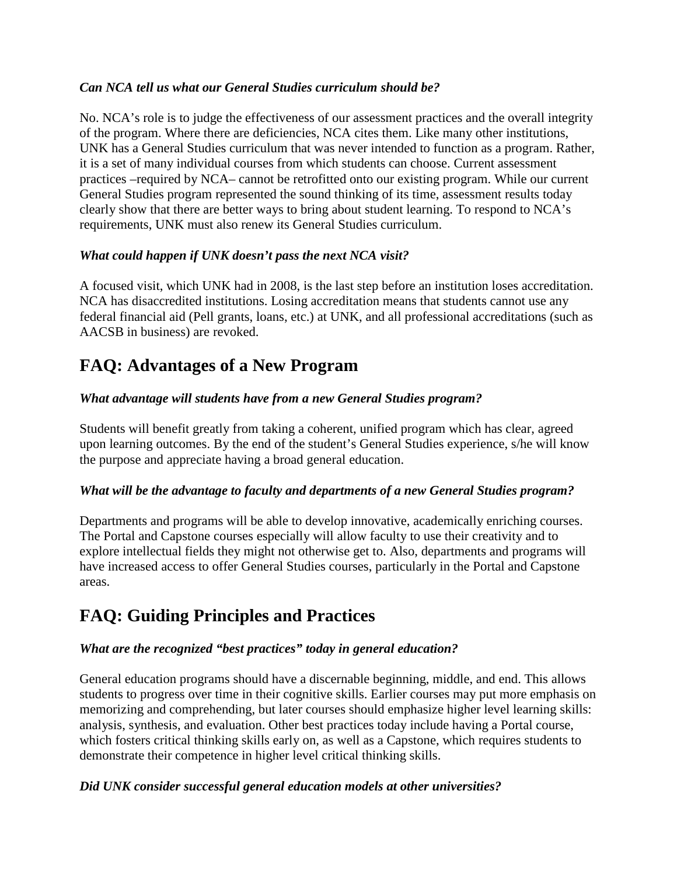#### *Can NCA tell us what our General Studies curriculum should be?*

No. NCA's role is to judge the effectiveness of our assessment practices and the overall integrity of the program. Where there are deficiencies, NCA cites them. Like many other institutions, UNK has a General Studies curriculum that was never intended to function as a program. Rather, it is a set of many individual courses from which students can choose. Current assessment practices –required by NCA– cannot be retrofitted onto our existing program. While our current General Studies program represented the sound thinking of its time, assessment results today clearly show that there are better ways to bring about student learning. To respond to NCA's requirements, UNK must also renew its General Studies curriculum.

#### *What could happen if UNK doesn't pass the next NCA visit?*

A focused visit, which UNK had in 2008, is the last step before an institution loses accreditation. NCA has disaccredited institutions. Losing accreditation means that students cannot use any federal financial aid (Pell grants, loans, etc.) at UNK, and all professional accreditations (such as AACSB in business) are revoked.

## **FAQ: Advantages of a New Program**

#### *What advantage will students have from a new General Studies program?*

Students will benefit greatly from taking a coherent, unified program which has clear, agreed upon learning outcomes. By the end of the student's General Studies experience, s/he will know the purpose and appreciate having a broad general education.

#### *What will be the advantage to faculty and departments of a new General Studies program?*

Departments and programs will be able to develop innovative, academically enriching courses. The Portal and Capstone courses especially will allow faculty to use their creativity and to explore intellectual fields they might not otherwise get to. Also, departments and programs will have increased access to offer General Studies courses, particularly in the Portal and Capstone areas.

## **FAQ: Guiding Principles and Practices**

#### *What are the recognized "best practices" today in general education?*

General education programs should have a discernable beginning, middle, and end. This allows students to progress over time in their cognitive skills. Earlier courses may put more emphasis on memorizing and comprehending, but later courses should emphasize higher level learning skills: analysis, synthesis, and evaluation. Other best practices today include having a Portal course, which fosters critical thinking skills early on, as well as a Capstone, which requires students to demonstrate their competence in higher level critical thinking skills.

#### *Did UNK consider successful general education models at other universities?*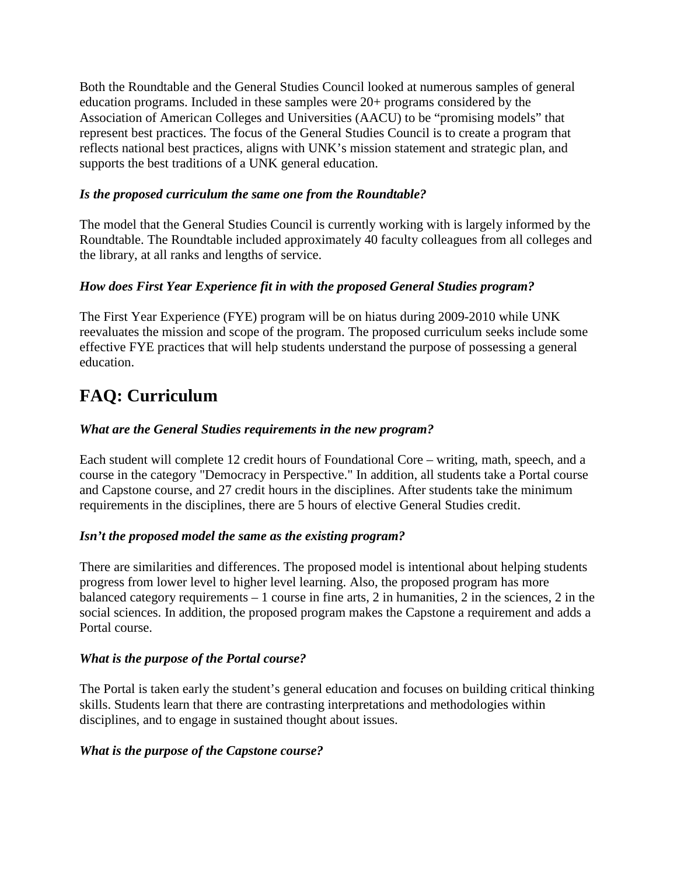Both the Roundtable and the General Studies Council looked at numerous samples of general education programs. Included in these samples were 20+ programs considered by the Association of American Colleges and Universities (AACU) to be "promising models" that represent best practices. The focus of the General Studies Council is to create a program that reflects national best practices, aligns with UNK's mission statement and strategic plan, and supports the best traditions of a UNK general education.

#### *Is the proposed curriculum the same one from the Roundtable?*

The model that the General Studies Council is currently working with is largely informed by the Roundtable. The Roundtable included approximately 40 faculty colleagues from all colleges and the library, at all ranks and lengths of service.

#### *How does First Year Experience fit in with the proposed General Studies program?*

The First Year Experience (FYE) program will be on hiatus during 2009-2010 while UNK reevaluates the mission and scope of the program. The proposed curriculum seeks include some effective FYE practices that will help students understand the purpose of possessing a general education.

## **FAQ: Curriculum**

#### *What are the General Studies requirements in the new program?*

Each student will complete 12 credit hours of Foundational Core – writing, math, speech, and a course in the category "Democracy in Perspective." In addition, all students take a Portal course and Capstone course, and 27 credit hours in the disciplines. After students take the minimum requirements in the disciplines, there are 5 hours of elective General Studies credit.

#### *Isn't the proposed model the same as the existing program?*

There are similarities and differences. The proposed model is intentional about helping students progress from lower level to higher level learning. Also, the proposed program has more balanced category requirements  $-1$  course in fine arts, 2 in humanities, 2 in the sciences, 2 in the social sciences. In addition, the proposed program makes the Capstone a requirement and adds a Portal course.

#### *What is the purpose of the Portal course?*

The Portal is taken early the student's general education and focuses on building critical thinking skills. Students learn that there are contrasting interpretations and methodologies within disciplines, and to engage in sustained thought about issues.

#### *What is the purpose of the Capstone course?*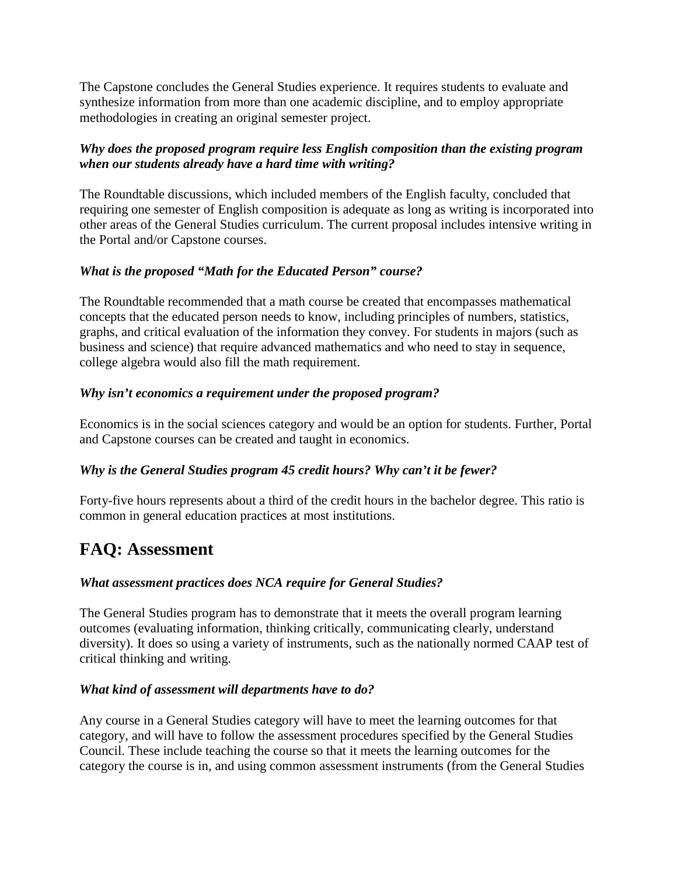The Capstone concludes the General Studies experience. It requires students to evaluate and synthesize information from more than one academic discipline, and to employ appropriate methodologies in creating an original semester project.

#### *Why does the proposed program require less English composition than the existing program when our students already have a hard time with writing?*

The Roundtable discussions, which included members of the English faculty, concluded that requiring one semester of English composition is adequate as long as writing is incorporated into other areas of the General Studies curriculum. The current proposal includes intensive writing in the Portal and/or Capstone courses.

#### *What is the proposed "Math for the Educated Person" course?*

The Roundtable recommended that a math course be created that encompasses mathematical concepts that the educated person needs to know, including principles of numbers, statistics, graphs, and critical evaluation of the information they convey. For students in majors (such as business and science) that require advanced mathematics and who need to stay in sequence, college algebra would also fill the math requirement.

#### *Why isn't economics a requirement under the proposed program?*

Economics is in the social sciences category and would be an option for students. Further, Portal and Capstone courses can be created and taught in economics.

#### *Why is the General Studies program 45 credit hours? Why can't it be fewer?*

Forty-five hours represents about a third of the credit hours in the bachelor degree. This ratio is common in general education practices at most institutions.

### **FAQ: Assessment**

#### *What assessment practices does NCA require for General Studies?*

The General Studies program has to demonstrate that it meets the overall program learning outcomes (evaluating information, thinking critically, communicating clearly, understand diversity). It does so using a variety of instruments, such as the nationally normed CAAP test of critical thinking and writing.

#### *What kind of assessment will departments have to do?*

Any course in a General Studies category will have to meet the learning outcomes for that category, and will have to follow the assessment procedures specified by the General Studies Council. These include teaching the course so that it meets the learning outcomes for the category the course is in, and using common assessment instruments (from the General Studies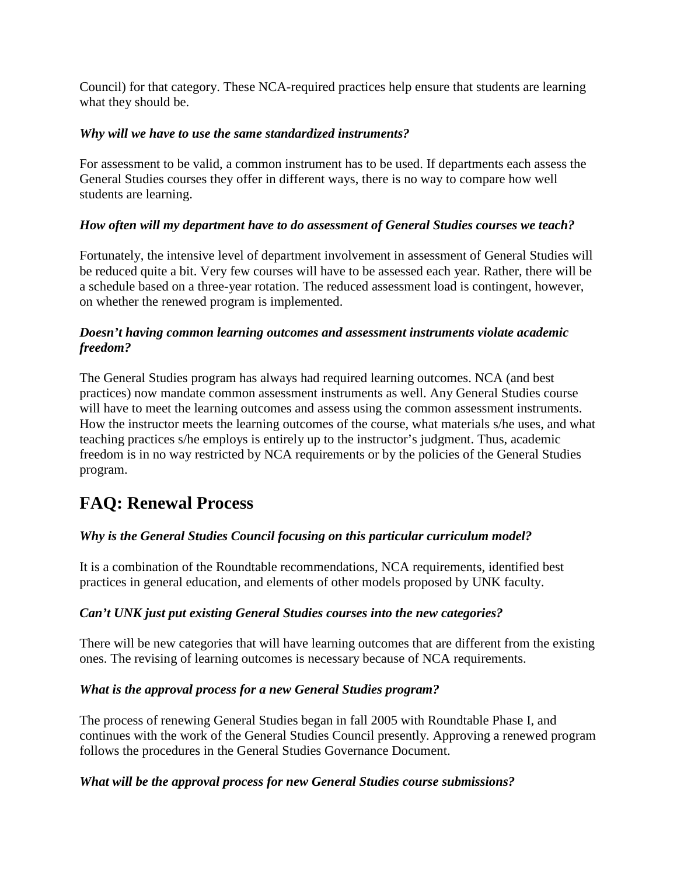Council) for that category. These NCA-required practices help ensure that students are learning what they should be.

#### *Why will we have to use the same standardized instruments?*

For assessment to be valid, a common instrument has to be used. If departments each assess the General Studies courses they offer in different ways, there is no way to compare how well students are learning.

#### *How often will my department have to do assessment of General Studies courses we teach?*

Fortunately, the intensive level of department involvement in assessment of General Studies will be reduced quite a bit. Very few courses will have to be assessed each year. Rather, there will be a schedule based on a three-year rotation. The reduced assessment load is contingent, however, on whether the renewed program is implemented.

#### *Doesn't having common learning outcomes and assessment instruments violate academic freedom?*

The General Studies program has always had required learning outcomes. NCA (and best practices) now mandate common assessment instruments as well. Any General Studies course will have to meet the learning outcomes and assess using the common assessment instruments. How the instructor meets the learning outcomes of the course, what materials s/he uses, and what teaching practices s/he employs is entirely up to the instructor's judgment. Thus, academic freedom is in no way restricted by NCA requirements or by the policies of the General Studies program.

### **FAQ: Renewal Process**

#### *Why is the General Studies Council focusing on this particular curriculum model?*

It is a combination of the Roundtable recommendations, NCA requirements, identified best practices in general education, and elements of other models proposed by UNK faculty.

#### *Can't UNK just put existing General Studies courses into the new categories?*

There will be new categories that will have learning outcomes that are different from the existing ones. The revising of learning outcomes is necessary because of NCA requirements.

#### *What is the approval process for a new General Studies program?*

The process of renewing General Studies began in fall 2005 with Roundtable Phase I, and continues with the work of the General Studies Council presently. Approving a renewed program follows the procedures in the General Studies Governance Document.

#### *What will be the approval process for new General Studies course submissions?*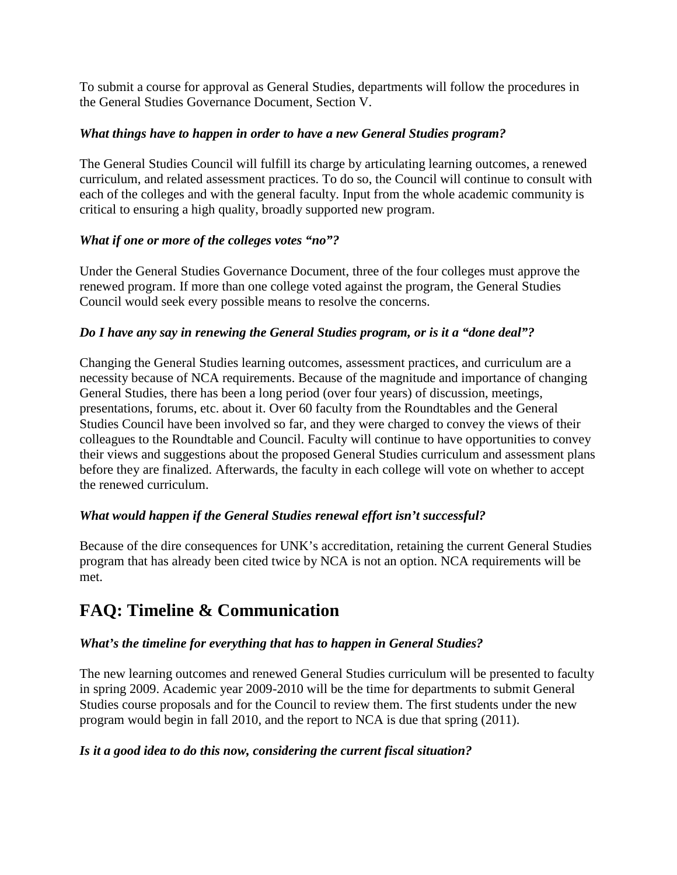To submit a course for approval as General Studies, departments will follow the procedures in the General Studies Governance Document, Section V.

#### *What things have to happen in order to have a new General Studies program?*

The General Studies Council will fulfill its charge by articulating learning outcomes, a renewed curriculum, and related assessment practices. To do so, the Council will continue to consult with each of the colleges and with the general faculty. Input from the whole academic community is critical to ensuring a high quality, broadly supported new program.

#### *What if one or more of the colleges votes "no"?*

Under the General Studies Governance Document, three of the four colleges must approve the renewed program. If more than one college voted against the program, the General Studies Council would seek every possible means to resolve the concerns.

#### *Do I have any say in renewing the General Studies program, or is it a "done deal"?*

Changing the General Studies learning outcomes, assessment practices, and curriculum are a necessity because of NCA requirements. Because of the magnitude and importance of changing General Studies, there has been a long period (over four years) of discussion, meetings, presentations, forums, etc. about it. Over 60 faculty from the Roundtables and the General Studies Council have been involved so far, and they were charged to convey the views of their colleagues to the Roundtable and Council. Faculty will continue to have opportunities to convey their views and suggestions about the proposed General Studies curriculum and assessment plans before they are finalized. Afterwards, the faculty in each college will vote on whether to accept the renewed curriculum.

#### *What would happen if the General Studies renewal effort isn't successful?*

Because of the dire consequences for UNK's accreditation, retaining the current General Studies program that has already been cited twice by NCA is not an option. NCA requirements will be met.

### **FAQ: Timeline & Communication**

#### *What's the timeline for everything that has to happen in General Studies?*

The new learning outcomes and renewed General Studies curriculum will be presented to faculty in spring 2009. Academic year 2009-2010 will be the time for departments to submit General Studies course proposals and for the Council to review them. The first students under the new program would begin in fall 2010, and the report to NCA is due that spring (2011).

#### *Is it a good idea to do this now, considering the current fiscal situation?*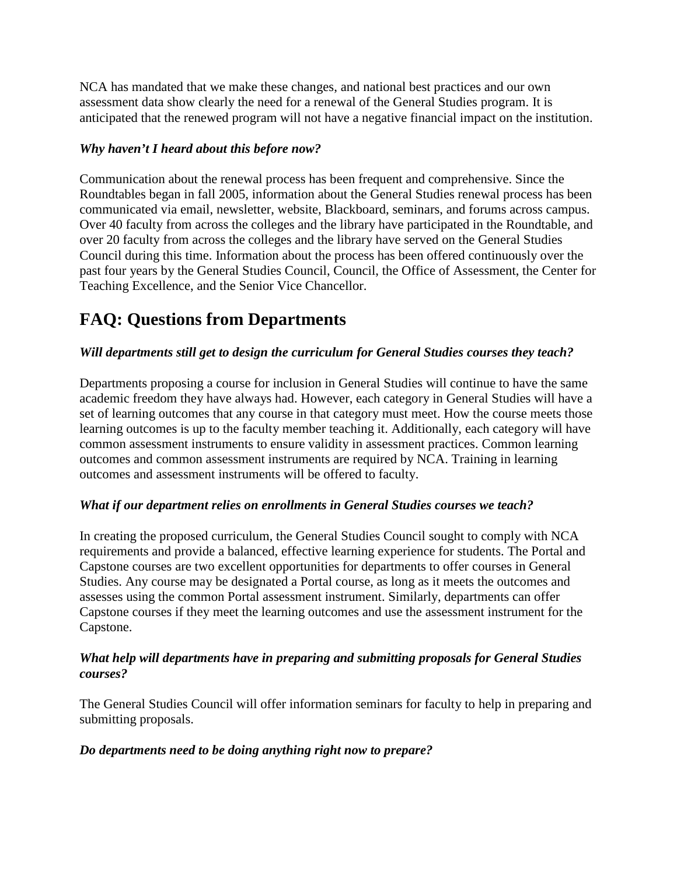NCA has mandated that we make these changes, and national best practices and our own assessment data show clearly the need for a renewal of the General Studies program. It is anticipated that the renewed program will not have a negative financial impact on the institution.

#### *Why haven't I heard about this before now?*

Communication about the renewal process has been frequent and comprehensive. Since the Roundtables began in fall 2005, information about the General Studies renewal process has been communicated via email, newsletter, website, Blackboard, seminars, and forums across campus. Over 40 faculty from across the colleges and the library have participated in the Roundtable, and over 20 faculty from across the colleges and the library have served on the General Studies Council during this time. Information about the process has been offered continuously over the past four years by the General Studies Council, Council, the Office of Assessment, the Center for Teaching Excellence, and the Senior Vice Chancellor.

## **FAQ: Questions from Departments**

#### *Will departments still get to design the curriculum for General Studies courses they teach?*

Departments proposing a course for inclusion in General Studies will continue to have the same academic freedom they have always had. However, each category in General Studies will have a set of learning outcomes that any course in that category must meet. How the course meets those learning outcomes is up to the faculty member teaching it. Additionally, each category will have common assessment instruments to ensure validity in assessment practices. Common learning outcomes and common assessment instruments are required by NCA. Training in learning outcomes and assessment instruments will be offered to faculty.

#### *What if our department relies on enrollments in General Studies courses we teach?*

In creating the proposed curriculum, the General Studies Council sought to comply with NCA requirements and provide a balanced, effective learning experience for students. The Portal and Capstone courses are two excellent opportunities for departments to offer courses in General Studies. Any course may be designated a Portal course, as long as it meets the outcomes and assesses using the common Portal assessment instrument. Similarly, departments can offer Capstone courses if they meet the learning outcomes and use the assessment instrument for the Capstone.

#### *What help will departments have in preparing and submitting proposals for General Studies courses?*

The General Studies Council will offer information seminars for faculty to help in preparing and submitting proposals.

#### *Do departments need to be doing anything right now to prepare?*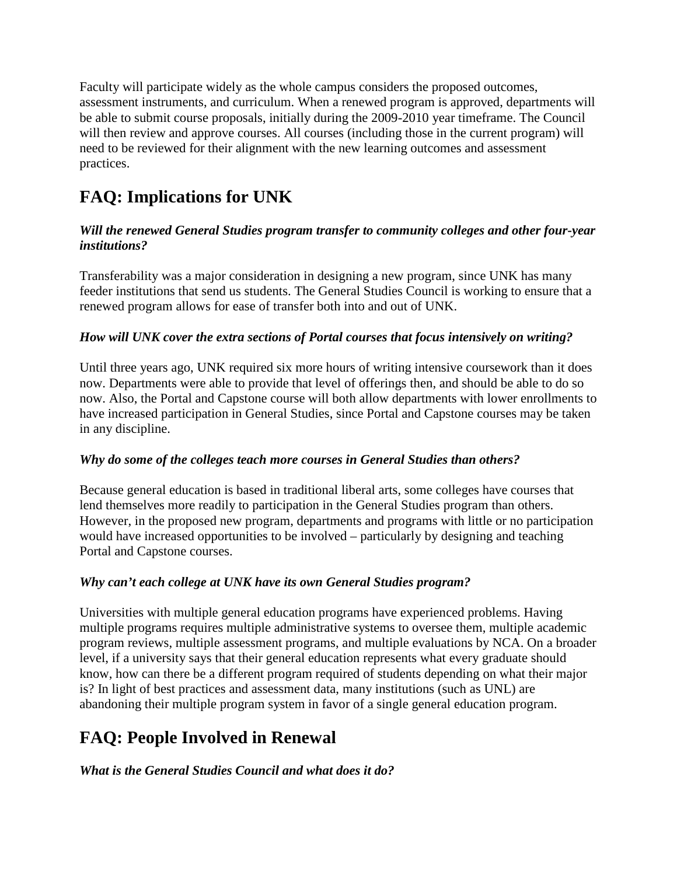Faculty will participate widely as the whole campus considers the proposed outcomes, assessment instruments, and curriculum. When a renewed program is approved, departments will be able to submit course proposals, initially during the 2009-2010 year timeframe. The Council will then review and approve courses. All courses (including those in the current program) will need to be reviewed for their alignment with the new learning outcomes and assessment practices.

## **FAQ: Implications for UNK**

#### *Will the renewed General Studies program transfer to community colleges and other four-year institutions?*

Transferability was a major consideration in designing a new program, since UNK has many feeder institutions that send us students. The General Studies Council is working to ensure that a renewed program allows for ease of transfer both into and out of UNK.

#### *How will UNK cover the extra sections of Portal courses that focus intensively on writing?*

Until three years ago, UNK required six more hours of writing intensive coursework than it does now. Departments were able to provide that level of offerings then, and should be able to do so now. Also, the Portal and Capstone course will both allow departments with lower enrollments to have increased participation in General Studies, since Portal and Capstone courses may be taken in any discipline.

#### *Why do some of the colleges teach more courses in General Studies than others?*

Because general education is based in traditional liberal arts, some colleges have courses that lend themselves more readily to participation in the General Studies program than others. However, in the proposed new program, departments and programs with little or no participation would have increased opportunities to be involved – particularly by designing and teaching Portal and Capstone courses.

#### *Why can't each college at UNK have its own General Studies program?*

Universities with multiple general education programs have experienced problems. Having multiple programs requires multiple administrative systems to oversee them, multiple academic program reviews, multiple assessment programs, and multiple evaluations by NCA. On a broader level, if a university says that their general education represents what every graduate should know, how can there be a different program required of students depending on what their major is? In light of best practices and assessment data, many institutions (such as UNL) are abandoning their multiple program system in favor of a single general education program.

### **FAQ: People Involved in Renewal**

#### *What is the General Studies Council and what does it do?*